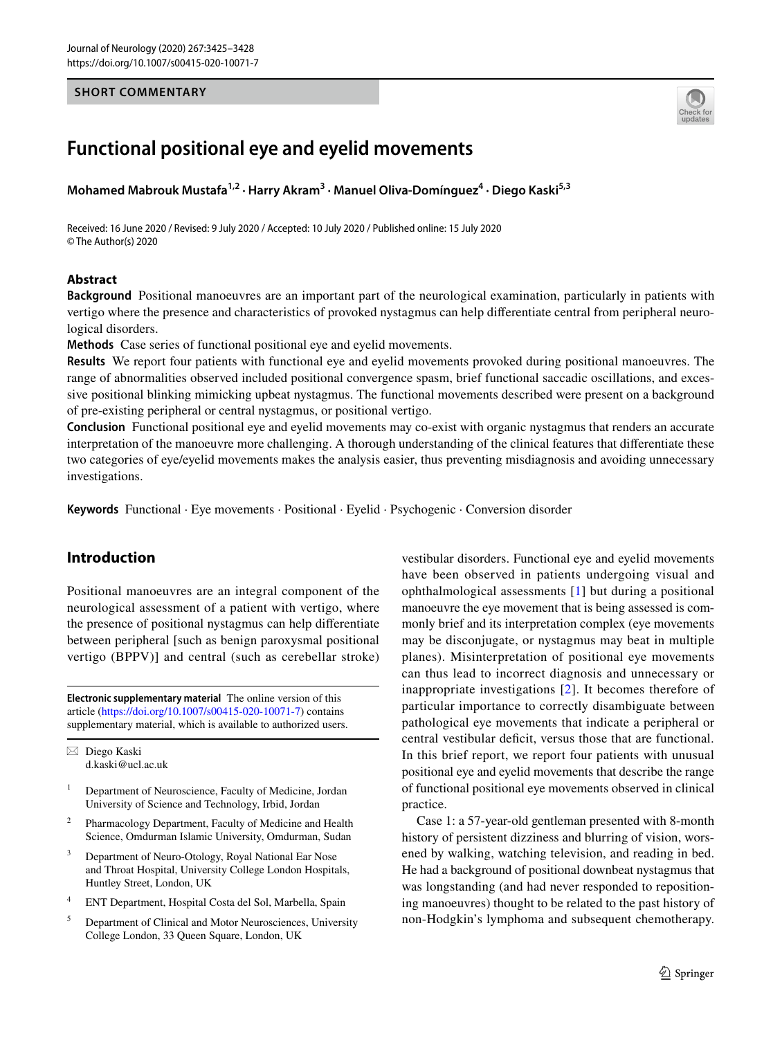## **SHORT COMMENTARY**



# **Functional positional eye and eyelid movements**

Mohamed Mabrouk Mustafa<sup>1,2</sup> · Harry Akram<sup>3</sup> · Manuel Oliva-Domínguez<sup>4</sup> · Diego Kaski<sup>5,3</sup>

Received: 16 June 2020 / Revised: 9 July 2020 / Accepted: 10 July 2020 / Published online: 15 July 2020 © The Author(s) 2020

#### **Abstract**

**Background** Positional manoeuvres are an important part of the neurological examination, particularly in patients with vertigo where the presence and characteristics of provoked nystagmus can help diferentiate central from peripheral neurological disorders.

**Methods** Case series of functional positional eye and eyelid movements.

**Results** We report four patients with functional eye and eyelid movements provoked during positional manoeuvres. The range of abnormalities observed included positional convergence spasm, brief functional saccadic oscillations, and excessive positional blinking mimicking upbeat nystagmus. The functional movements described were present on a background of pre-existing peripheral or central nystagmus, or positional vertigo.

**Conclusion** Functional positional eye and eyelid movements may co-exist with organic nystagmus that renders an accurate interpretation of the manoeuvre more challenging. A thorough understanding of the clinical features that diferentiate these two categories of eye/eyelid movements makes the analysis easier, thus preventing misdiagnosis and avoiding unnecessary investigations.

**Keywords** Functional · Eye movements · Positional · Eyelid · Psychogenic · Conversion disorder

## **Introduction**

Positional manoeuvres are an integral component of the neurological assessment of a patient with vertigo, where the presence of positional nystagmus can help diferentiate between peripheral [such as benign paroxysmal positional vertigo (BPPV)] and central (such as cerebellar stroke)

**Electronic supplementary material** The online version of this article [\(https://doi.org/10.1007/s00415-020-10071-7\)](https://doi.org/10.1007/s00415-020-10071-7) contains supplementary material, which is available to authorized users.

 $\boxtimes$  Diego Kaski d.kaski@ucl.ac.uk

- <sup>1</sup> Department of Neuroscience, Faculty of Medicine, Jordan University of Science and Technology, Irbid, Jordan
- <sup>2</sup> Pharmacology Department, Faculty of Medicine and Health Science, Omdurman Islamic University, Omdurman, Sudan
- <sup>3</sup> Department of Neuro-Otology, Royal National Ear Nose and Throat Hospital, University College London Hospitals, Huntley Street, London, UK
- <sup>4</sup> ENT Department, Hospital Costa del Sol, Marbella, Spain
- <sup>5</sup> Department of Clinical and Motor Neurosciences, University College London, 33 Queen Square, London, UK

vestibular disorders. Functional eye and eyelid movements have been observed in patients undergoing visual and ophthalmological assessments [[1](#page-3-0)] but during a positional manoeuvre the eye movement that is being assessed is commonly brief and its interpretation complex (eye movements may be disconjugate, or nystagmus may beat in multiple planes). Misinterpretation of positional eye movements can thus lead to incorrect diagnosis and unnecessary or inappropriate investigations [\[2](#page-3-1)]. It becomes therefore of particular importance to correctly disambiguate between pathological eye movements that indicate a peripheral or central vestibular defcit, versus those that are functional. In this brief report, we report four patients with unusual positional eye and eyelid movements that describe the range of functional positional eye movements observed in clinical practice.

Case 1: a 57-year-old gentleman presented with 8-month history of persistent dizziness and blurring of vision, worsened by walking, watching television, and reading in bed. He had a background of positional downbeat nystagmus that was longstanding (and had never responded to repositioning manoeuvres) thought to be related to the past history of non-Hodgkin's lymphoma and subsequent chemotherapy.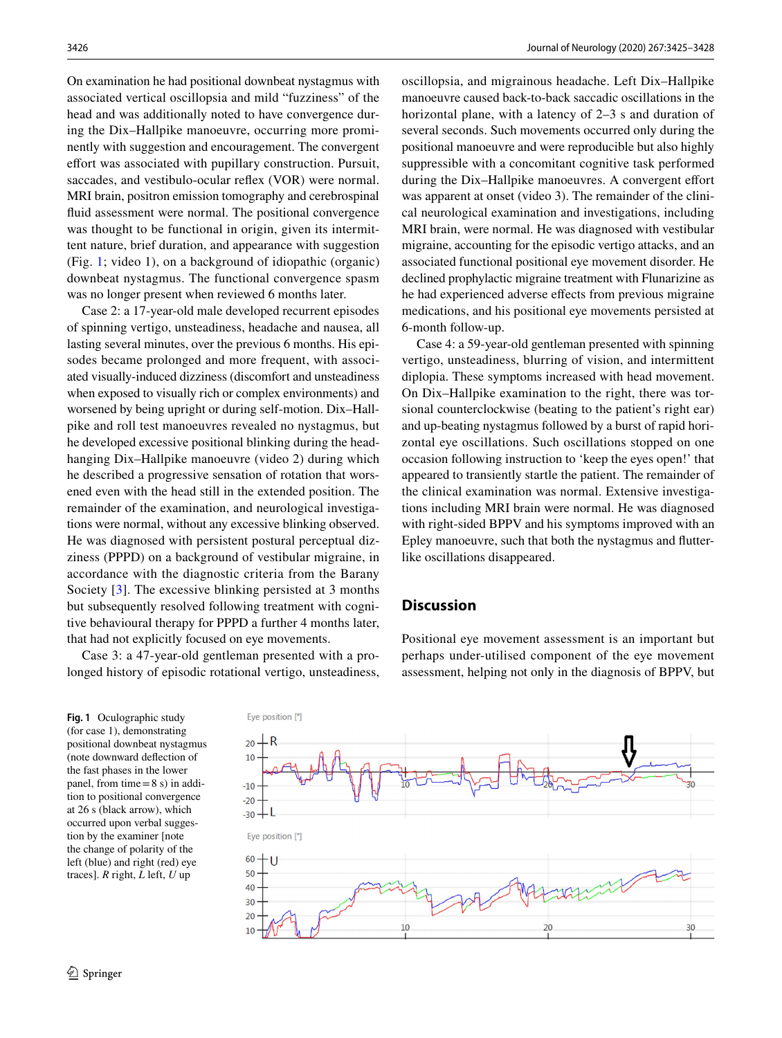On examination he had positional downbeat nystagmus with associated vertical oscillopsia and mild "fuzziness" of the head and was additionally noted to have convergence during the Dix–Hallpike manoeuvre, occurring more prominently with suggestion and encouragement. The convergent effort was associated with pupillary construction. Pursuit, saccades, and vestibulo-ocular refex (VOR) were normal. MRI brain, positron emission tomography and cerebrospinal fuid assessment were normal. The positional convergence was thought to be functional in origin, given its intermittent nature, brief duration, and appearance with suggestion (Fig. [1;](#page-1-0) video 1), on a background of idiopathic (organic) downbeat nystagmus. The functional convergence spasm was no longer present when reviewed 6 months later.

Case 2: a 17-year-old male developed recurrent episodes of spinning vertigo, unsteadiness, headache and nausea, all lasting several minutes, over the previous 6 months. His episodes became prolonged and more frequent, with associated visually-induced dizziness (discomfort and unsteadiness when exposed to visually rich or complex environments) and worsened by being upright or during self-motion. Dix–Hallpike and roll test manoeuvres revealed no nystagmus, but he developed excessive positional blinking during the headhanging Dix–Hallpike manoeuvre (video 2) during which he described a progressive sensation of rotation that worsened even with the head still in the extended position. The remainder of the examination, and neurological investigations were normal, without any excessive blinking observed. He was diagnosed with persistent postural perceptual dizziness (PPPD) on a background of vestibular migraine, in accordance with the diagnostic criteria from the Barany Society [\[3](#page-3-2)]. The excessive blinking persisted at 3 months but subsequently resolved following treatment with cognitive behavioural therapy for PPPD a further 4 months later, that had not explicitly focused on eye movements.

Case 3: a 47-year-old gentleman presented with a prolonged history of episodic rotational vertigo, unsteadiness, oscillopsia, and migrainous headache. Left Dix–Hallpike manoeuvre caused back-to-back saccadic oscillations in the horizontal plane, with a latency of 2–3 s and duration of several seconds. Such movements occurred only during the positional manoeuvre and were reproducible but also highly suppressible with a concomitant cognitive task performed during the Dix–Hallpike manoeuvres. A convergent effort was apparent at onset (video 3). The remainder of the clinical neurological examination and investigations, including MRI brain, were normal. He was diagnosed with vestibular migraine, accounting for the episodic vertigo attacks, and an associated functional positional eye movement disorder. He declined prophylactic migraine treatment with Flunarizine as he had experienced adverse efects from previous migraine medications, and his positional eye movements persisted at 6-month follow-up.

Case 4: a 59-year-old gentleman presented with spinning vertigo, unsteadiness, blurring of vision, and intermittent diplopia. These symptoms increased with head movement. On Dix–Hallpike examination to the right, there was torsional counterclockwise (beating to the patient's right ear) and up-beating nystagmus followed by a burst of rapid horizontal eye oscillations. Such oscillations stopped on one occasion following instruction to 'keep the eyes open!' that appeared to transiently startle the patient. The remainder of the clinical examination was normal. Extensive investigations including MRI brain were normal. He was diagnosed with right-sided BPPV and his symptoms improved with an Epley manoeuvre, such that both the nystagmus and futterlike oscillations disappeared.

## **Discussion**

perhaps under-utilised component of the eye movement assessment, helping not only in the diagnosis of BPPV, but

<span id="page-1-0"></span>**Fig. 1** Oculographic study (for case 1), demonstrating positional downbeat nystagmus (note downward defection of the fast phases in the lower panel, from time=8 s) in addition to positional convergence at 26 s (black arrow), which occurred upon verbal suggestion by the examiner [note the change of polarity of the left (blue) and right (red) eye traces]. *R* right, *L* left, *U* up



Positional eye movement assessment is an important but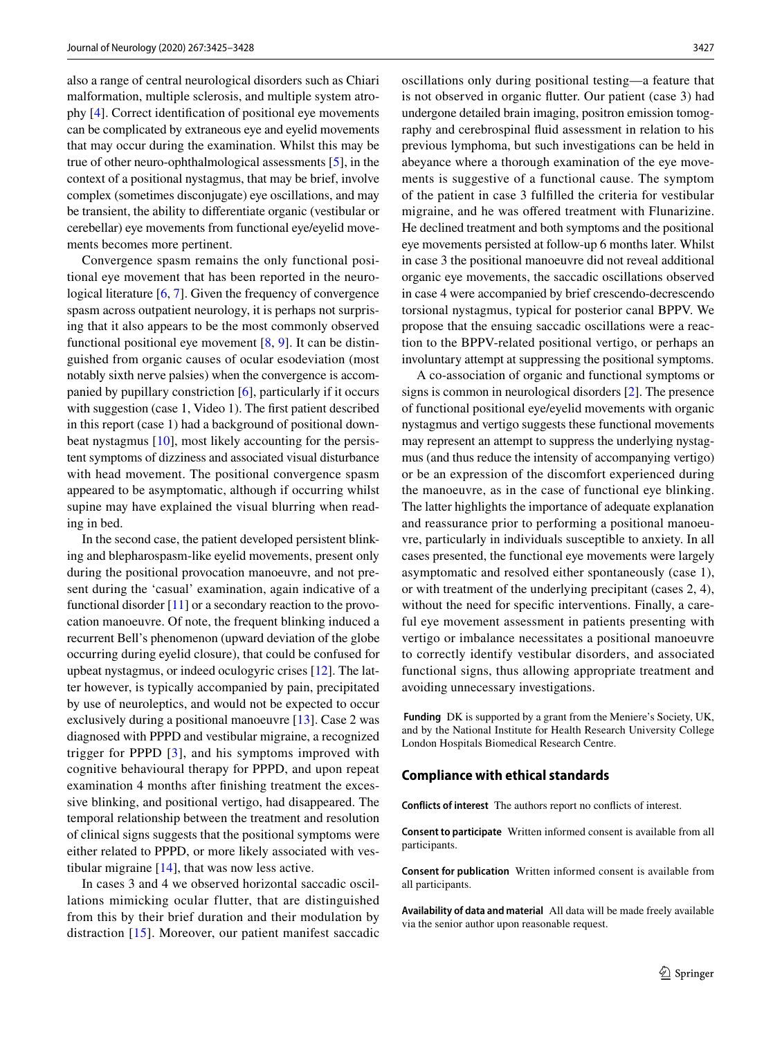also a range of central neurological disorders such as Chiari malformation, multiple sclerosis, and multiple system atrophy [[4\]](#page-3-3). Correct identifcation of positional eye movements can be complicated by extraneous eye and eyelid movements that may occur during the examination. Whilst this may be true of other neuro-ophthalmological assessments [[5\]](#page-3-4), in the context of a positional nystagmus, that may be brief, involve complex (sometimes disconjugate) eye oscillations, and may be transient, the ability to diferentiate organic (vestibular or cerebellar) eye movements from functional eye/eyelid movements becomes more pertinent.

Convergence spasm remains the only functional positional eye movement that has been reported in the neuro-logical literature [\[6](#page-3-5), [7](#page-3-6)]. Given the frequency of convergence spasm across outpatient neurology, it is perhaps not surprising that it also appears to be the most commonly observed functional positional eye movement  $[8, 9]$  $[8, 9]$  $[8, 9]$  $[8, 9]$  $[8, 9]$ . It can be distinguished from organic causes of ocular esodeviation (most notably sixth nerve palsies) when the convergence is accompanied by pupillary constriction [[6\]](#page-3-5), particularly if it occurs with suggestion (case 1, Video 1). The frst patient described in this report (case 1) had a background of positional downbeat nystagmus [\[10\]](#page-3-9), most likely accounting for the persistent symptoms of dizziness and associated visual disturbance with head movement. The positional convergence spasm appeared to be asymptomatic, although if occurring whilst supine may have explained the visual blurring when reading in bed.

In the second case, the patient developed persistent blinking and blepharospasm-like eyelid movements, present only during the positional provocation manoeuvre, and not present during the 'casual' examination, again indicative of a functional disorder  $[11]$  $[11]$  or a secondary reaction to the provocation manoeuvre. Of note, the frequent blinking induced a recurrent Bell's phenomenon (upward deviation of the globe occurring during eyelid closure), that could be confused for upbeat nystagmus, or indeed oculogyric crises [[12\]](#page-3-11). The latter however, is typically accompanied by pain, precipitated by use of neuroleptics, and would not be expected to occur exclusively during a positional manoeuvre [\[13](#page-3-12)]. Case 2 was diagnosed with PPPD and vestibular migraine, a recognized trigger for PPPD [[3\]](#page-3-2), and his symptoms improved with cognitive behavioural therapy for PPPD, and upon repeat examination 4 months after fnishing treatment the excessive blinking, and positional vertigo, had disappeared. The temporal relationship between the treatment and resolution of clinical signs suggests that the positional symptoms were either related to PPPD, or more likely associated with vestibular migraine  $[14]$  $[14]$ , that was now less active.

In cases 3 and 4 we observed horizontal saccadic oscillations mimicking ocular flutter, that are distinguished from this by their brief duration and their modulation by distraction [[15\]](#page-3-14). Moreover, our patient manifest saccadic oscillations only during positional testing—a feature that is not observed in organic futter. Our patient (case 3) had undergone detailed brain imaging, positron emission tomography and cerebrospinal fuid assessment in relation to his previous lymphoma, but such investigations can be held in abeyance where a thorough examination of the eye movements is suggestive of a functional cause. The symptom of the patient in case 3 fulflled the criteria for vestibular migraine, and he was ofered treatment with Flunarizine. He declined treatment and both symptoms and the positional eye movements persisted at follow-up 6 months later. Whilst in case 3 the positional manoeuvre did not reveal additional organic eye movements, the saccadic oscillations observed in case 4 were accompanied by brief crescendo-decrescendo torsional nystagmus, typical for posterior canal BPPV. We propose that the ensuing saccadic oscillations were a reaction to the BPPV-related positional vertigo, or perhaps an involuntary attempt at suppressing the positional symptoms.

A co-association of organic and functional symptoms or signs is common in neurological disorders [[2\]](#page-3-1). The presence of functional positional eye/eyelid movements with organic nystagmus and vertigo suggests these functional movements may represent an attempt to suppress the underlying nystagmus (and thus reduce the intensity of accompanying vertigo) or be an expression of the discomfort experienced during the manoeuvre, as in the case of functional eye blinking. The latter highlights the importance of adequate explanation and reassurance prior to performing a positional manoeuvre, particularly in individuals susceptible to anxiety. In all cases presented, the functional eye movements were largely asymptomatic and resolved either spontaneously (case 1), or with treatment of the underlying precipitant (cases 2, 4), without the need for specific interventions. Finally, a careful eye movement assessment in patients presenting with vertigo or imbalance necessitates a positional manoeuvre to correctly identify vestibular disorders, and associated functional signs, thus allowing appropriate treatment and avoiding unnecessary investigations.

 **Funding** DK is supported by a grant from the Meniere's Society, UK, and by the National Institute for Health Research University College London Hospitals Biomedical Research Centre.

#### **Compliance with ethical standards**

**Conflicts of interest** The authors report no conficts of interest.

**Consent to participate** Written informed consent is available from all participants.

**Consent for publication** Written informed consent is available from all participants.

**Availability of data and material** All data will be made freely available via the senior author upon reasonable request.